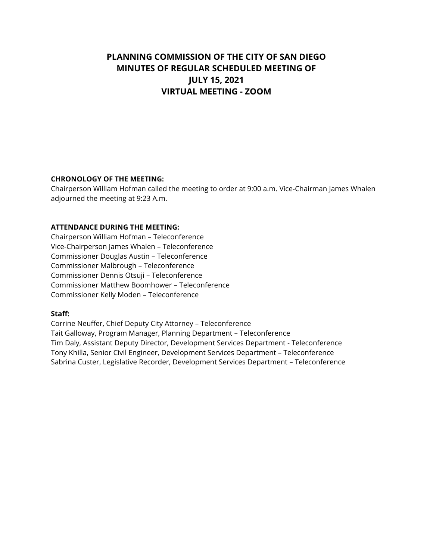# **PLANNING COMMISSION OF THE CITY OF SAN DIEGO MINUTES OF REGULAR SCHEDULED MEETING OF JULY 15, 2021 VIRTUAL MEETING - ZOOM**

#### **CHRONOLOGY OF THE MEETING:**

Chairperson William Hofman called the meeting to order at 9:00 a.m. Vice-Chairman James Whalen adjourned the meeting at 9:23 A.m.

#### **ATTENDANCE DURING THE MEETING:**

Chairperson William Hofman – Teleconference Vice-Chairperson James Whalen – Teleconference Commissioner Douglas Austin – Teleconference Commissioner Malbrough – Teleconference Commissioner Dennis Otsuji – Teleconference Commissioner Matthew Boomhower – Teleconference Commissioner Kelly Moden – Teleconference

#### **Staff:**

Corrine Neuffer, Chief Deputy City Attorney – Teleconference Tait Galloway, Program Manager, Planning Department – Teleconference Tim Daly, Assistant Deputy Director, Development Services Department - Teleconference Tony Khilla, Senior Civil Engineer, Development Services Department – Teleconference Sabrina Custer, Legislative Recorder, Development Services Department – Teleconference